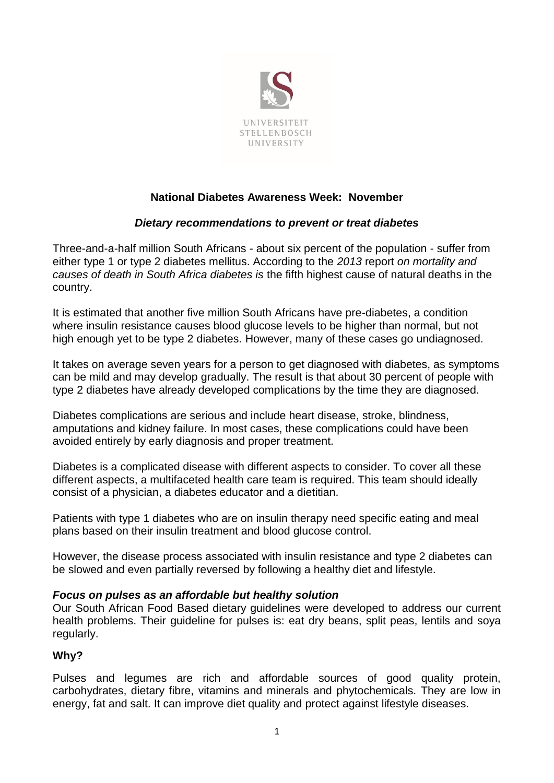

# **National Diabetes Awareness Week: November**

# *Dietary recommendations to prevent or treat diabetes*

Three-and-a-half million South Africans - about six percent of the population - suffer from either type 1 or type 2 diabetes mellitus. According to the *2013* report *on mortality and causes of death in South Africa diabetes is* the fifth highest cause of natural deaths in the country.

It is estimated that another five million South Africans have pre-diabetes, a condition where insulin resistance causes blood glucose levels to be higher than normal, but not high enough yet to be type 2 diabetes. However, many of these cases go undiagnosed.

It takes on average seven years for a person to get diagnosed with diabetes, as symptoms can be mild and may develop gradually. The result is that about 30 percent of people with type 2 diabetes have already developed complications by the time they are diagnosed.

Diabetes complications are serious and include heart disease, stroke, blindness, amputations and kidney failure. In most cases, these complications could have been avoided entirely by early diagnosis and proper treatment.

Diabetes is a complicated disease with different aspects to consider. To cover all these different aspects, a multifaceted health care team is required. This team should ideally consist of a physician, a diabetes educator and a dietitian.

Patients with type 1 diabetes who are on insulin therapy need specific eating and meal plans based on their insulin treatment and blood glucose control.

However, the disease process associated with insulin resistance and type 2 diabetes can be slowed and even partially reversed by following a healthy diet and lifestyle.

### *Focus on pulses as an affordable but healthy solution*

Our South African Food Based dietary guidelines were developed to address our current health problems. Their guideline for pulses is: eat dry beans, split peas, lentils and soya regularly.

### **Why?**

Pulses and legumes are rich and affordable sources of good quality protein, carbohydrates, dietary fibre, vitamins and minerals and phytochemicals. They are low in energy, fat and salt. It can improve diet quality and protect against lifestyle diseases.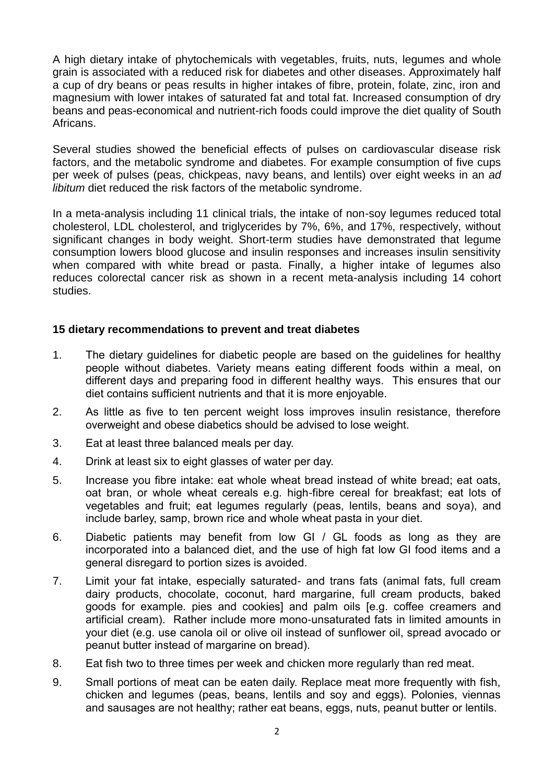A high dietary intake of phytochemicals with vegetables, fruits, nuts, legumes and whole grain is associated with a reduced risk for diabetes and other diseases. Approximately half a cup of dry beans or peas results in higher intakes of fibre, protein, folate, zinc, iron and magnesium with lower intakes of saturated fat and total fat. Increased consumption of dry beans and peas-economical and nutrient-rich foods could improve the diet quality of South Africans.

Several studies showed the beneficial effects of pulses on cardiovascular disease risk factors, and the metabolic syndrome and diabetes. For example consumption of five cups per week of pulses (peas, chickpeas, navy beans, and lentils) over eight weeks in an *ad libitum* diet reduced the risk factors of the metabolic syndrome.

In a meta-analysis including 11 clinical trials, the intake of non-soy legumes reduced total cholesterol, LDL cholesterol, and triglycerides by 7%, 6%, and 17%, respectively, without significant changes in body weight. Short-term studies have demonstrated that legume consumption lowers blood glucose and insulin responses and increases insulin sensitivity when compared with white bread or pasta. Finally, a higher intake of legumes also reduces colorectal cancer risk as shown in a recent meta-analysis including 14 cohort studies.

### **15 dietary recommendations to prevent and treat diabetes**

- 1. The dietary guidelines for diabetic people are based on the guidelines for healthy people without diabetes. Variety means eating different foods within a meal, on different days and preparing food in different healthy ways. This ensures that our diet contains sufficient nutrients and that it is more enjoyable.
- 2. As little as five to ten percent weight loss improves insulin resistance, therefore overweight and obese diabetics should be advised to lose weight.
- 3. Eat at least three balanced meals per day.
- 4. Drink at least six to eight glasses of water per day.
- 5. Increase you fibre intake: eat whole wheat bread instead of white bread; eat oats, oat bran, or whole wheat cereals e.g. high-fibre cereal for breakfast; eat lots of vegetables and fruit; eat legumes regularly (peas, lentils, beans and soya), and include barley, samp, brown rice and whole wheat pasta in your diet.
- 6. Diabetic patients may benefit from low GI / GL foods as long as they are incorporated into a balanced diet, and the use of high fat low GI food items and a general disregard to portion sizes is avoided.
- 7. Limit your fat intake, especially saturated- and trans fats (animal fats, full cream dairy products, chocolate, coconut, hard margarine, full cream products, baked goods for example. pies and cookies] and palm oils [e.g. coffee creamers and artificial cream). Rather include more mono-unsaturated fats in limited amounts in your diet (e.g. use canola oil or olive oil instead of sunflower oil, spread avocado or peanut butter instead of margarine on bread).
- 8. Eat fish two to three times per week and chicken more regularly than red meat.
- 9. Small portions of meat can be eaten daily. Replace meat more frequently with fish, chicken and legumes (peas, beans, lentils and soy and eggs). Polonies, viennas and sausages are not healthy; rather eat beans, eggs, nuts, peanut butter or lentils.